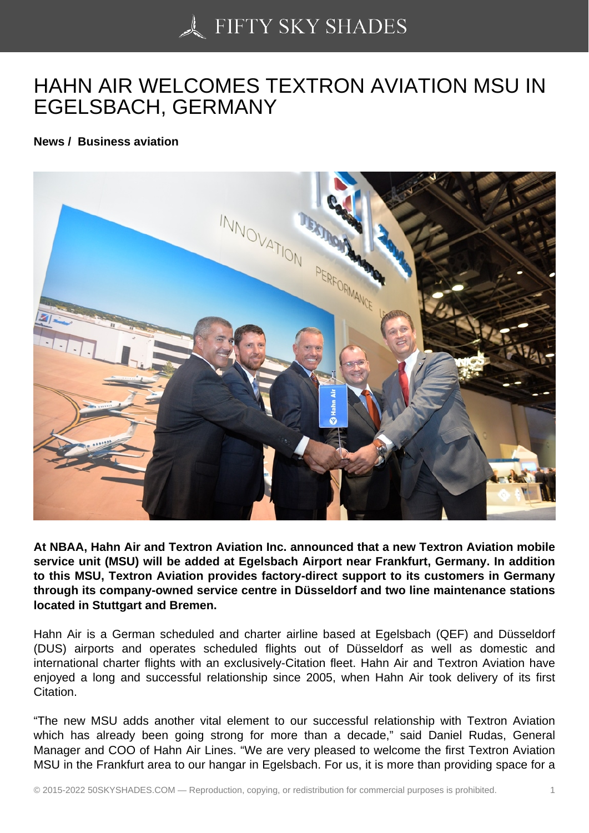## [HAHN AIR WELCOME](https://50skyshades.com)S TEXTRON AVIATION MSU IN EGELSBACH, GERMANY

News / Business aviation

At NBAA, Hahn Air and Textron Aviation Inc. announced that a new Textron Aviation mobile service unit (MSU) will be added at Egelsbach Airport near Frankfurt, Germany. In addition to this MSU, Textron Aviation provides factory-direct support to its customers in Germany through its company-owned service centre in Düsseldorf and two line maintenance stations located in Stuttgart and Bremen.

Hahn Air is a German scheduled and charter airline based at Egelsbach (QEF) and Düsseldorf (DUS) airports and operates scheduled flights out of Düsseldorf as well as domestic and international charter flights with an exclusively-Citation fleet. Hahn Air and Textron Aviation have enjoyed a long and successful relationship since 2005, when Hahn Air took delivery of its first Citation.

"The new MSU adds another vital element to our successful relationship with Textron Aviation which has already been going strong for more than a decade," said Daniel Rudas, General Manager and COO of Hahn Air Lines. "We are very pleased to welcome the first Textron Aviation MSU in the Frankfurt area to our hangar in Egelsbach. For us, it is more than providing space for a